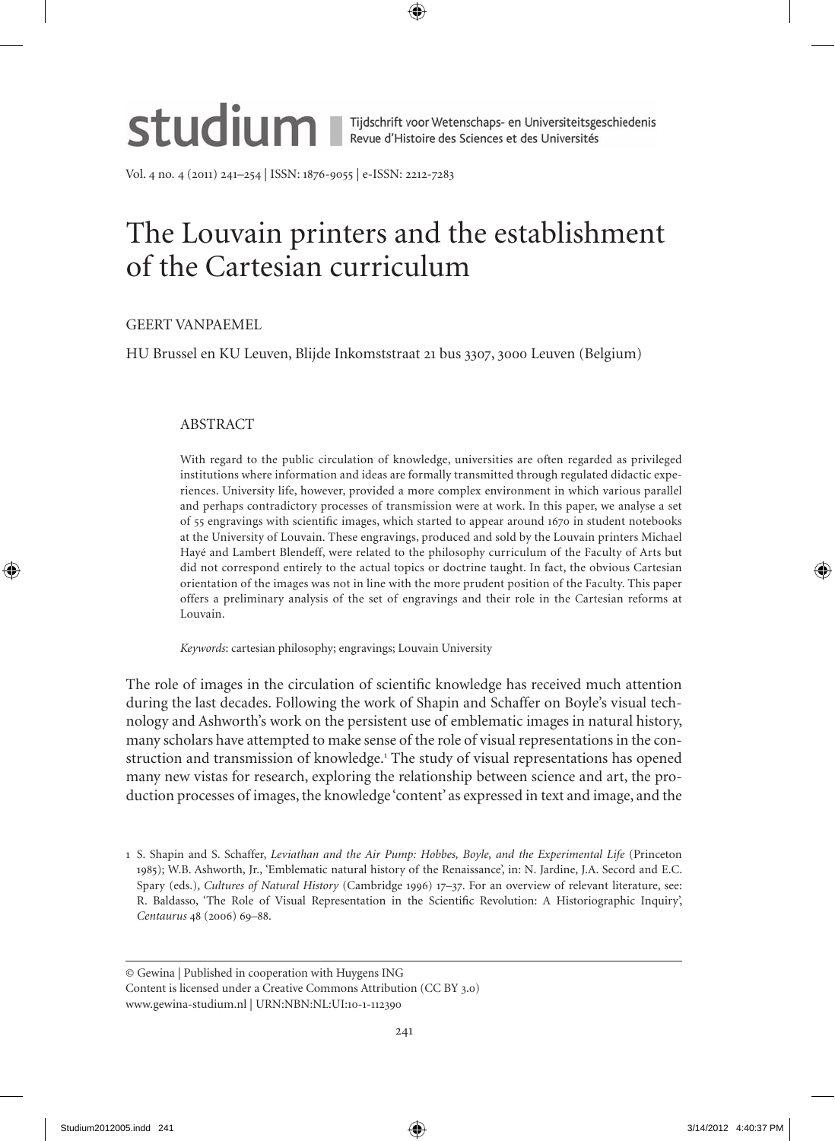

Vol. no. (2011) 21–25 | ISSN: 1876-9055 | e-ISSN: 2212-7283

# The Louvain printers and the establishment of the Cartesian curriculum

# GeeRT VANPAemeL

HU Brussel en KU Leuven, Blijde Inkomststraat 21 bus 3307, 3000 Leuven (Belgium)

## ABSTRACT

With regard to the public circulation of knowledge, universities are often regarded as privileged institutions where information and ideas are formally transmitted through regulated didactic experiences. University life, however, provided a more complex environment in which various parallel and perhaps contradictory processes of transmission were at work. In this paper, we analyse a set of 55 engravings with scientific images, which started to appear around 1670 in student notebooks at the University of Louvain. These engravings, produced and sold by the Louvain printers michael Hayé and Lambert Blendeff, were related to the philosophy curriculum of the Faculty of Arts but did not correspond entirely to the actual topics or doctrine taught. In fact, the obvious Cartesian orientation of the images was not in line with the more prudent position of the Faculty. This paper offers a preliminary analysis of the set of engravings and their role in the Cartesian reforms at Louvain.

*Keywords*: cartesian philosophy; engravings; Louvain University

The role of images in the circulation of scientific knowledge has received much attention during the last decades. Following the work of Shapin and Schaffer on Boyle's visual technology and Ashworth's work on the persistent use of emblematic images in natural history, many scholars have attempted to make sense of the role of visual representations in the construction and transmission of knowledge.<sup>1</sup> The study of visual representations has opened many new vistas for research, exploring the relationship between science and art, the production processes of images, the knowledge 'content' as expressed in text and image, and the

<sup>1</sup> S. Shapin and S. Schaffer, *Leviathan and the Air Pump: Hobbes, Boyle, and the Experimental Life* (Princeton 1985); W.B. Ashworth, Jr., 'emblematic natural history of the Renaissance', in: N. Jardine, J.A. Secord and e.C. Spary (eds.), *Cultures of Natural History* (Cambridge 1996) 17–37. For an overview of relevant literature, see: R. Baldasso, 'The Role of Visual Representation in the Scientific Revolution: A Historiographic Inquiry', *Centaurus* 48 (2006) 69-88.

<sup>©</sup> Gewina | Published in cooperation with Huygens ING Content is licensed under a Creative Commons Attribution (CC BY 3.0) www.gewina-studium.nl | URN:NBN:NL:UI:10-1-112390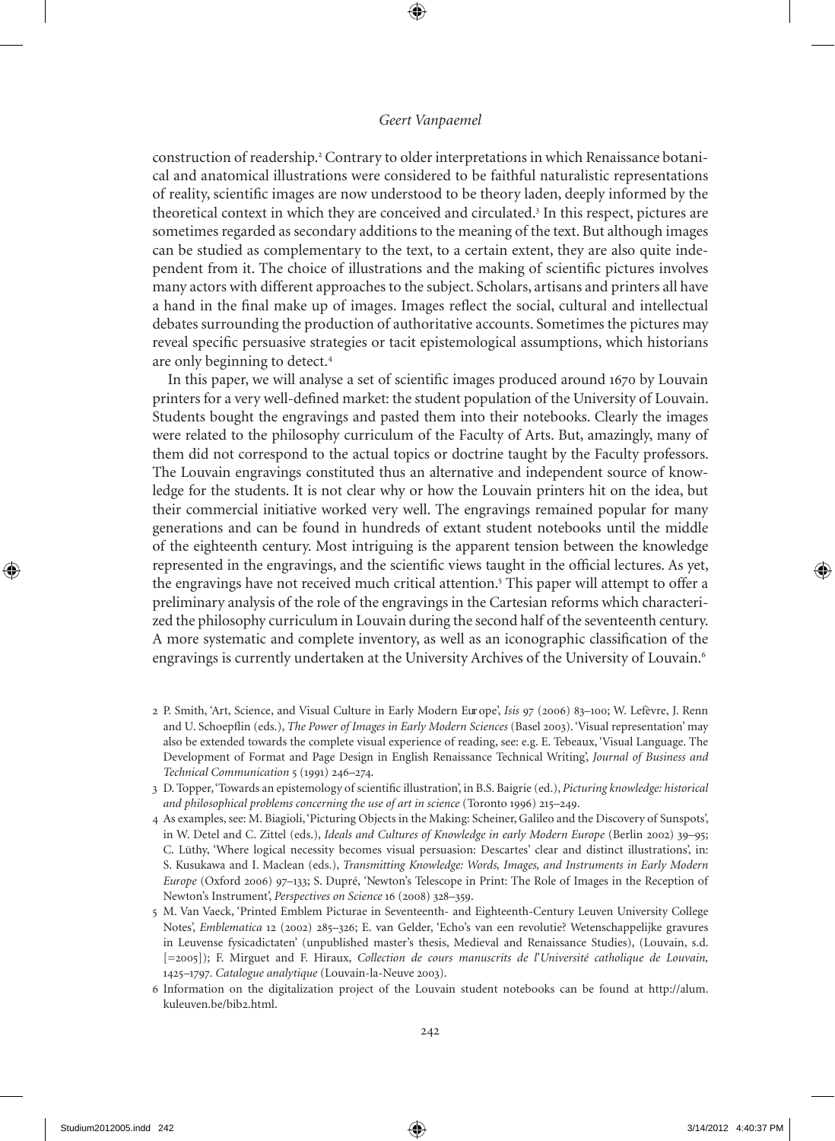construction of readership.<sup>2</sup> Contrary to older interpretations in which Renaissance botanical and anatomical illustrations were considered to be faithful naturalistic representations of reality, scientific images are now understood to be theory laden, deeply informed by the theoretical context in which they are conceived and circulated.<sup>3</sup> In this respect, pictures are sometimes regarded as secondary additions to the meaning of the text. But although images can be studied as complementary to the text, to a certain extent, they are also quite independent from it. The choice of illustrations and the making of scientific pictures involves many actors with different approaches to the subject. Scholars, artisans and printers all have a hand in the final make up of images. Images reflect the social, cultural and intellectual debates surrounding the production of authoritative accounts. Sometimes the pictures may reveal specific persuasive strategies or tacit epistemological assumptions, which historians are only beginning to detect.

In this paper, we will analyse a set of scientific images produced around 1670 by Louvain printers for a very well-defined market: the student population of the University of Louvain. Students bought the engravings and pasted them into their notebooks. Clearly the images were related to the philosophy curriculum of the Faculty of Arts. But, amazingly, many of them did not correspond to the actual topics or doctrine taught by the Faculty professors. The Louvain engravings constituted thus an alternative and independent source of knowledge for the students. It is not clear why or how the Louvain printers hit on the idea, but their commercial initiative worked very well. The engravings remained popular for many generations and can be found in hundreds of extant student notebooks until the middle of the eighteenth century. most intriguing is the apparent tension between the knowledge represented in the engravings, and the scientific views taught in the official lectures. As yet, the engravings have not received much critical attention.<sup>5</sup> This paper will attempt to offer a preliminary analysis of the role of the engravings in the Cartesian reforms which characterized the philosophy curriculum in Louvain during the second half of the seventeenth century. A more systematic and complete inventory, as well as an iconographic classification of the engravings is currently undertaken at the University Archives of the University of Louvain.<sup>6</sup>

2 P. Smith, 'Art, Science, and Visual Culture in early modern eur ope', *Isis* 97 (2006) 83–100; W. Lefèvre, J. Renn and U. Schoepflin (eds.), *The Power of Images in Early Modern Sciences* (Basel 2003). 'Visual representation' may also be extended towards the complete visual experience of reading, see: e.g. e. Tebeaux, 'Visual Language. The Development of Format and Page Design in english Renaissance Technical Writing', *Journal of Business and Technical Communication* 5 (1991) 246-274.

- As examples, see: m. Biagioli, 'Picturing Objects in the making: Scheiner, Galileo and the Discovery of Sunspots', in W. Detel and C. Zittel (eds.), *Ideals and Cultures of Knowledge in early Modern Europe* (Berlin 2002) 39–95; C. Lüthy, 'Where logical necessity becomes visual persuasion: Descartes' clear and distinct illustrations', in: S. Kusukawa and I. maclean (eds.), *Transmitting Knowledge: Words, Images, and Instruments in Early Modern Europe* (Oxford 2006) 97–133; S. Dupré, 'Newton's Telescope in Print: The Role of Images in the Reception of Newton's Instrument', *Perspectives on Science* 16 (2008) 328–359.
- 5 m. Van Vaeck, 'Printed emblem Picturae in Seventeenth- and eighteenth-Century Leuven University College Notes', *Emblematica* 12 (2002) 285–326; E. van Gelder, 'Echo's van een revolutie? Wetenschappelijke gravures in Leuvense fysicadictaten' (unpublished master's thesis, medieval and Renaissance Studies), (Louvain, s.d. [=2005]); F. mirguet and F. Hiraux, *Collection de cours manuscrits de l*'*Université catholique de Louvain,*  125*–*1797*. Catalogue analytique* (Louvain-la-Neuve 2003).
- 6 Information on the digitalization project of the Louvain student notebooks can be found at http://alum. kuleuven.be/bib2.html.

<sup>3</sup> D. Topper, 'Towards an epistemology of scientific illustration', in B.S. Baigrie (ed.), *Picturing knowledge: historical and philosophical problems concerning the use of art in science* (Toronto 1996) 215–29.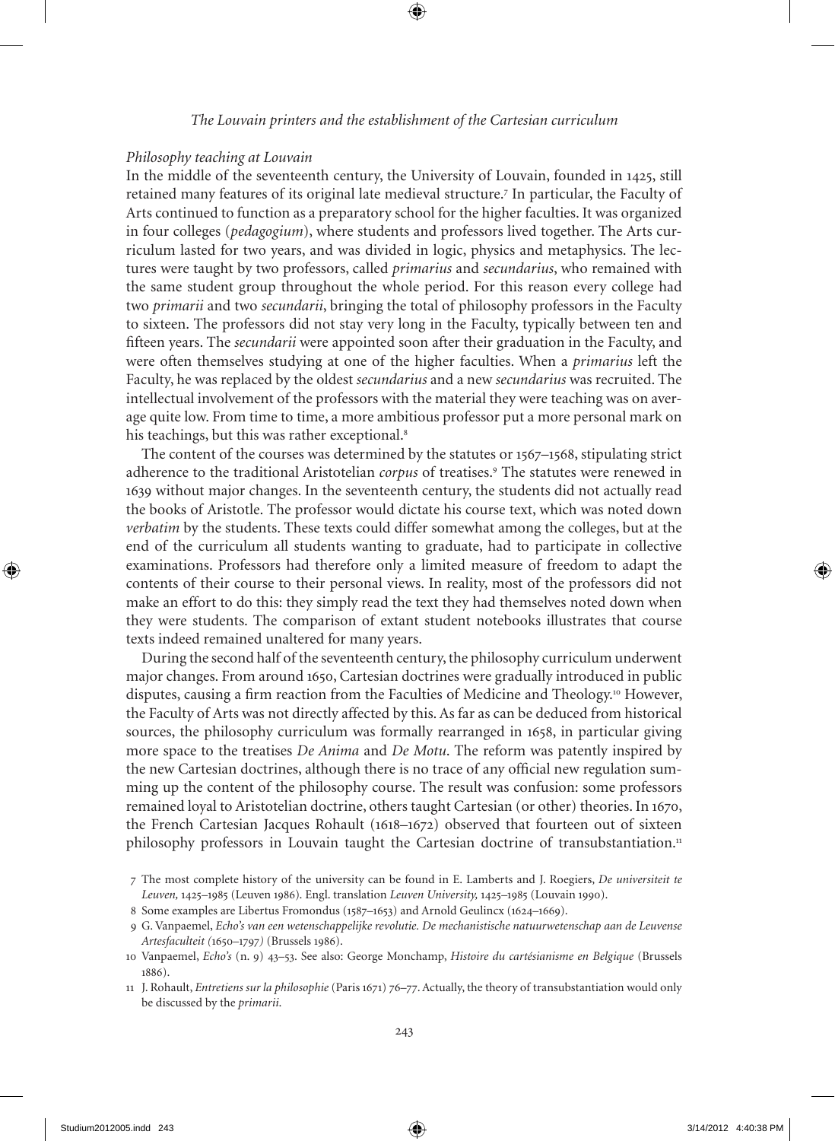### *The Louvain printers and the establishment of the Cartesian curriculum*

#### *Philosophy teaching at Louvain*

In the middle of the seventeenth century, the University of Louvain, founded in 125, still retained many features of its original late medieval structure.<sup>7</sup> In particular, the Faculty of Arts continued to function as a preparatory school for the higher faculties. It was organized in four colleges (*pedagogium*), where students and professors lived together. The Arts curriculum lasted for two years, and was divided in logic, physics and metaphysics. The lectures were taught by two professors, called *primarius* and *secundarius*, who remained with the same student group throughout the whole period. For this reason every college had two *primarii* and two *secundarii*, bringing the total of philosophy professors in the Faculty to sixteen. The professors did not stay very long in the Faculty, typically between ten and fifteen years. The *secundarii* were appointed soon after their graduation in the Faculty, and were often themselves studying at one of the higher faculties. When a *primarius* left the Faculty, he was replaced by the oldest *secundarius* and a new *secundarius* was recruited. The intellectual involvement of the professors with the material they were teaching was on average quite low. From time to time, a more ambitious professor put a more personal mark on his teachings, but this was rather exceptional.<sup>8</sup>

The content of the courses was determined by the statutes or 1567–1568, stipulating strict adherence to the traditional Aristotelian *corpus* of treatises.<sup>9</sup> The statutes were renewed in 1639 without major changes. In the seventeenth century, the students did not actually read the books of Aristotle. The professor would dictate his course text, which was noted down *verbatim* by the students. These texts could differ somewhat among the colleges, but at the end of the curriculum all students wanting to graduate, had to participate in collective examinations. Professors had therefore only a limited measure of freedom to adapt the contents of their course to their personal views. In reality, most of the professors did not make an effort to do this: they simply read the text they had themselves noted down when they were students. The comparison of extant student notebooks illustrates that course texts indeed remained unaltered for many years.

During the second half of the seventeenth century, the philosophy curriculum underwent major changes. From around 1650, Cartesian doctrines were gradually introduced in public disputes, causing a firm reaction from the Faculties of medicine and Theology.<sup>10</sup> However, the Faculty of Arts was not directly affected by this. As far as can be deduced from historical sources, the philosophy curriculum was formally rearranged in 1658, in particular giving more space to the treatises *De Anima* and *De Motu*. The reform was patently inspired by the new Cartesian doctrines, although there is no trace of any official new regulation summing up the content of the philosophy course. The result was confusion: some professors remained loyal to Aristotelian doctrine, others taught Cartesian (or other) theories. In 1670, the French Cartesian Jacques Rohault (1618–1672) observed that fourteen out of sixteen philosophy professors in Louvain taught the Cartesian doctrine of transubstantiation.<sup>11</sup>

<sup>7</sup> The most complete history of the university can be found in e. Lamberts and J. Roegiers, *De universiteit te*  Leuven, 1425–1985 (Leuven 1986). Engl. translation *Leuven University*, 1425–1985 (Louvain 1990).

<sup>8</sup> Some examples are Libertus Fromondus (1587-1653) and Arnold Geulincx (1624-1669).

<sup>9</sup> G. Vanpaemel, *Echo's van een wetenschappelijke revolutie. De mechanistische natuurwetenschap aan de Leuvense Artesfaculteit (*1650*–*1797*)* (Brussels 1986).

<sup>10</sup> Vanpaemel, *Echo's* (n. 9) 3–53. See also: George monchamp, *Histoire du cartésianisme en Belgique* (Brussels 1886).

<sup>11</sup> J. Rohault, *Entretiens sur la philosophie* (Paris 1671) 76–77. Actually, the theory of transubstantiation would only be discussed by the *primarii*.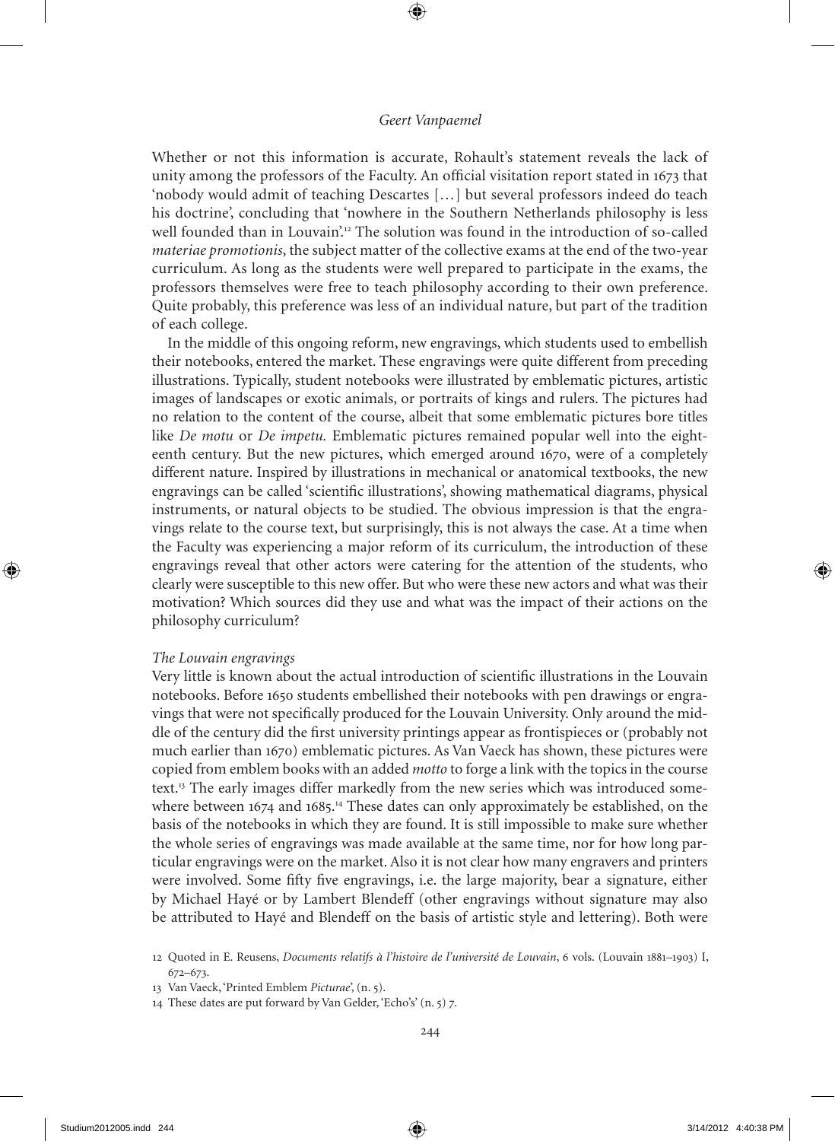Whether or not this information is accurate, Rohault's statement reveals the lack of unity among the professors of the Faculty. An official visitation report stated in 1673 that 'nobody would admit of teaching Descartes […] but several professors indeed do teach his doctrine', concluding that 'nowhere in the Southern Netherlands philosophy is less well founded than in Louvain'.<sup>12</sup> The solution was found in the introduction of so-called *materiae promotionis*, the subject matter of the collective exams at the end of the two-year curriculum. As long as the students were well prepared to participate in the exams, the professors themselves were free to teach philosophy according to their own preference. Quite probably, this preference was less of an individual nature, but part of the tradition of each college.

In the middle of this ongoing reform, new engravings, which students used to embellish their notebooks, entered the market. These engravings were quite different from preceding illustrations. Typically, student notebooks were illustrated by emblematic pictures, artistic images of landscapes or exotic animals, or portraits of kings and rulers. The pictures had no relation to the content of the course, albeit that some emblematic pictures bore titles like *De motu* or *De impetu*. Emblematic pictures remained popular well into the eighteenth century. But the new pictures, which emerged around 1670, were of a completely different nature. Inspired by illustrations in mechanical or anatomical textbooks, the new engravings can be called 'scientific illustrations', showing mathematical diagrams, physical instruments, or natural objects to be studied. The obvious impression is that the engravings relate to the course text, but surprisingly, this is not always the case. At a time when the Faculty was experiencing a major reform of its curriculum, the introduction of these engravings reveal that other actors were catering for the attention of the students, who clearly were susceptible to this new offer. But who were these new actors and what was their motivation? Which sources did they use and what was the impact of their actions on the philosophy curriculum?

### *The Louvain engravings*

Very little is known about the actual introduction of scientific illustrations in the Louvain notebooks. Before 1650 students embellished their notebooks with pen drawings or engravings that were not specifically produced for the Louvain University. Only around the middle of the century did the first university printings appear as frontispieces or (probably not much earlier than 1670) emblematic pictures. As Van Vaeck has shown, these pictures were copied from emblem books with an added *motto* to forge a link with the topics in the course text.13 The early images differ markedly from the new series which was introduced somewhere between 1674 and 1685.<sup>14</sup> These dates can only approximately be established, on the basis of the notebooks in which they are found. It is still impossible to make sure whether the whole series of engravings was made available at the same time, nor for how long particular engravings were on the market. Also it is not clear how many engravers and printers were involved. Some fifty five engravings, i.e. the large majority, bear a signature, either by michael Hayé or by Lambert Blendeff (other engravings without signature may also be attributed to Hayé and Blendeff on the basis of artistic style and lettering). Both were

<sup>12</sup> Quoted in e. Reusens, *Documents relatifs à l'histoire de l'université de Louvain*, 6 vols. (Louvain 1881–1903) I, 672–673.

<sup>13</sup> Van Vaeck, 'Printed emblem *Picturae*', (n. 5).

<sup>14</sup> These dates are put forward by Van Gelder, 'Echo's' (n. 5) 7.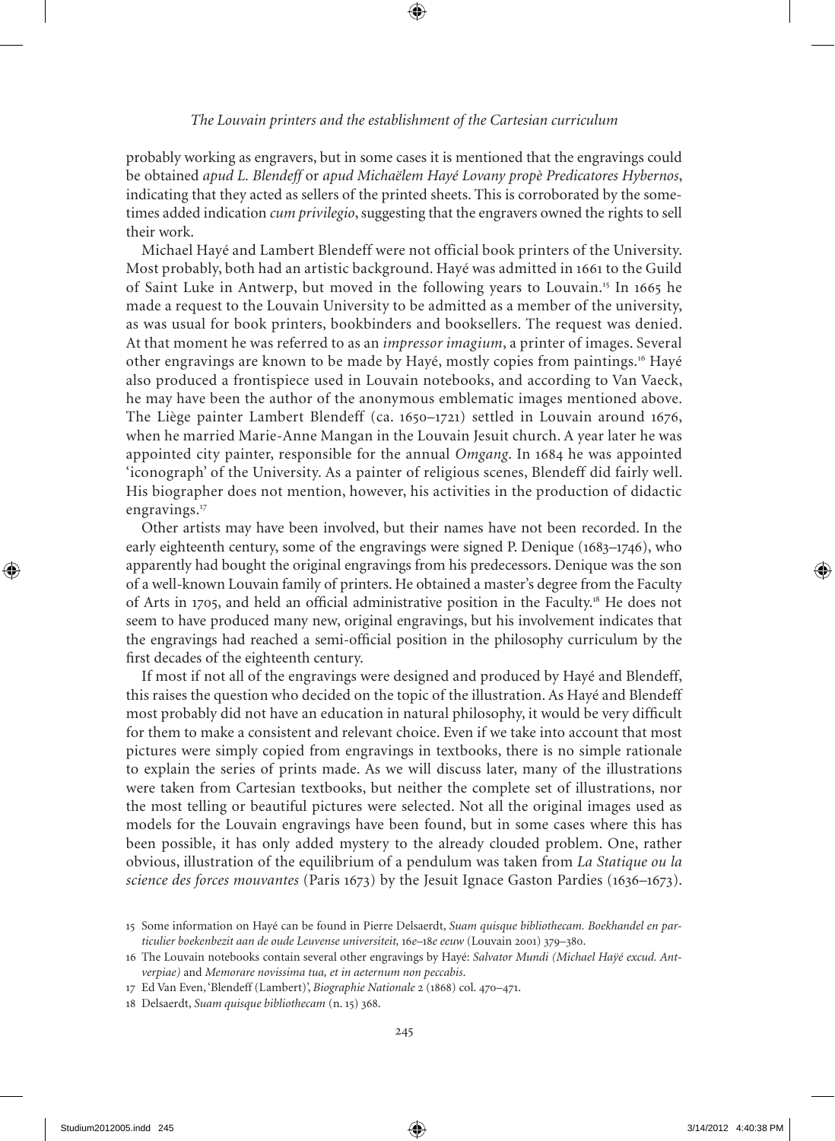probably working as engravers, but in some cases it is mentioned that the engravings could be obtained *apud L. Blendeff* or *apud Michaëlem Hayé Lovany propè Predicatores Hybernos*, indicating that they acted as sellers of the printed sheets. This is corroborated by the sometimes added indication *cum privilegio*, suggesting that the engravers owned the rights to sell their work.

michael Hayé and Lambert Blendeff were not official book printers of the University. most probably, both had an artistic background. Hayé was admitted in 1661 to the Guild of Saint Luke in Antwerp, but moved in the following years to Louvain.<sup>15</sup> In 1665 he made a request to the Louvain University to be admitted as a member of the university, as was usual for book printers, bookbinders and booksellers. The request was denied. At that moment he was referred to as an *impressor imagium*, a printer of images. Several other engravings are known to be made by Hayé, mostly copies from paintings.<sup>16</sup> Hayé also produced a frontispiece used in Louvain notebooks, and according to Van Vaeck, he may have been the author of the anonymous emblematic images mentioned above. The Liège painter Lambert Blendeff (ca. 1650–1721) settled in Louvain around 1676, when he married Marie-Anne Mangan in the Louvain Jesuit church. A year later he was appointed city painter, responsible for the annual *Omgang*. In 1684 he was appointed 'iconograph' of the University. As a painter of religious scenes, Blendeff did fairly well. His biographer does not mention, however, his activities in the production of didactic engravings.<sup>17</sup>

Other artists may have been involved, but their names have not been recorded. In the early eighteenth century, some of the engravings were signed P. Denique (1683–1746), who apparently had bought the original engravings from his predecessors. Denique was the son of a well-known Louvain family of printers. He obtained a master's degree from the Faculty of Arts in 1705, and held an official administrative position in the Faculty.<sup>18</sup> He does not seem to have produced many new, original engravings, but his involvement indicates that the engravings had reached a semi-official position in the philosophy curriculum by the first decades of the eighteenth century.

If most if not all of the engravings were designed and produced by Hayé and Blendeff, this raises the question who decided on the topic of the illustration. As Hayé and Blendeff most probably did not have an education in natural philosophy, it would be very difficult for them to make a consistent and relevant choice. Even if we take into account that most pictures were simply copied from engravings in textbooks, there is no simple rationale to explain the series of prints made. As we will discuss later, many of the illustrations were taken from Cartesian textbooks, but neither the complete set of illustrations, nor the most telling or beautiful pictures were selected. Not all the original images used as models for the Louvain engravings have been found, but in some cases where this has been possible, it has only added mystery to the already clouded problem. One, rather obvious, illustration of the equilibrium of a pendulum was taken from *La Statique ou la science des forces mouvantes* (Paris 1673) by the Jesuit Ignace Gaston Pardies (1636–1673).

<sup>15</sup> Some information on Hayé can be found in Pierre Delsaerdt, *Suam quisque bibliothecam. Boekhandel en particulier boekenbezit aan de oude Leuvense universiteit,* 16*e–*18*e eeuw* (Louvain 2001) 379–380.

<sup>16</sup> The Louvain notebooks contain several other engravings by Hayé: *Salvator Mundi (Michael Haÿé excud. Antverpiae)* and *Memorare novissima tua, et in aeternum non peccabis*.

<sup>17</sup> Ed Van Even, 'Blendeff (Lambert)', *Biographie Nationale* 2 (1868) col. 470-471.

<sup>18</sup> Delsaerdt, *Suam quisque bibliothecam* (n. 15) 368.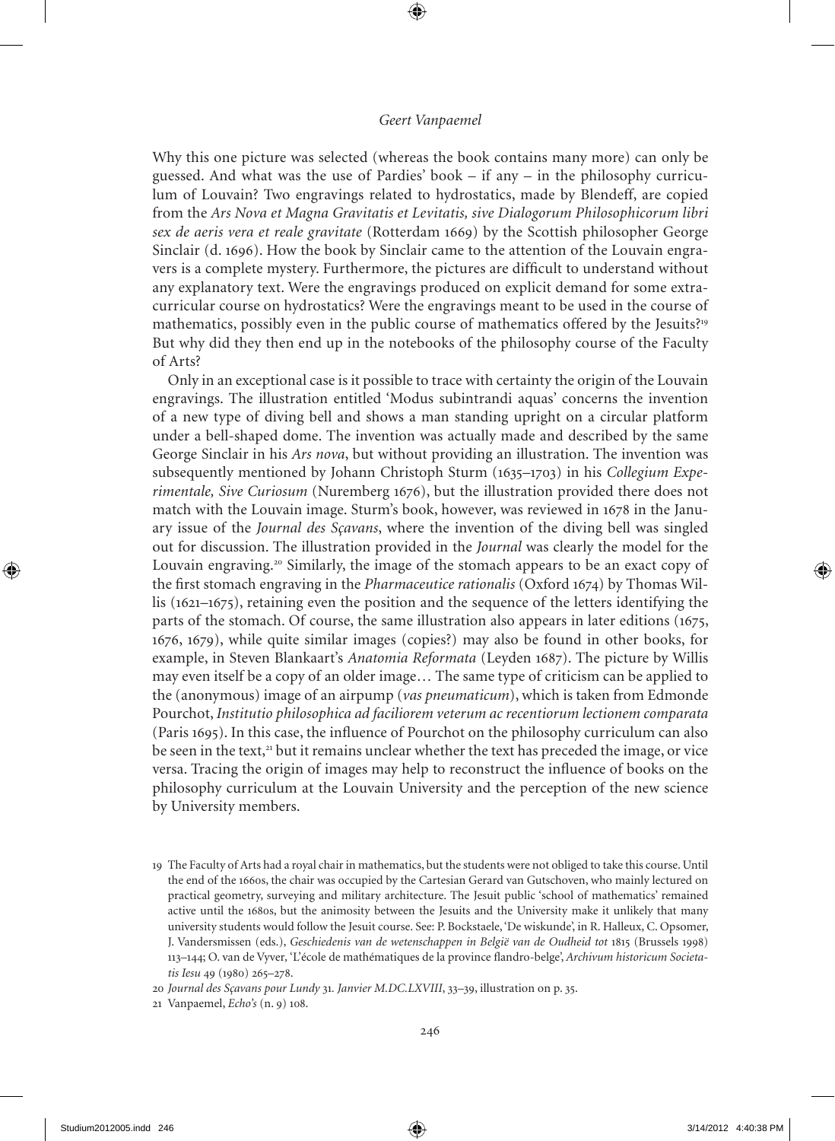Why this one picture was selected (whereas the book contains many more) can only be guessed. And what was the use of Pardies' book – if any – in the philosophy curriculum of Louvain? Two engravings related to hydrostatics, made by Blendeff, are copied from the *Ars Nova et Magna Gravitatis et Levitatis, sive Dialogorum Philosophicorum libri sex de aeris vera et reale gravitate* (Rotterdam 1669) by the Scottish philosopher George Sinclair (d. 1696). How the book by Sinclair came to the attention of the Louvain engravers is a complete mystery. Furthermore, the pictures are difficult to understand without any explanatory text. Were the engravings produced on explicit demand for some extracurricular course on hydrostatics? Were the engravings meant to be used in the course of mathematics, possibly even in the public course of mathematics offered by the Jesuits?<sup>19</sup> But why did they then end up in the notebooks of the philosophy course of the Faculty of Arts?

Only in an exceptional case is it possible to trace with certainty the origin of the Louvain engravings. The illustration entitled 'modus subintrandi aquas' concerns the invention of a new type of diving bell and shows a man standing upright on a circular platform under a bell-shaped dome. The invention was actually made and described by the same George Sinclair in his *Ars nova*, but without providing an illustration. The invention was subsequently mentioned by Johann Christoph Sturm (1635–1703) in his *Collegium Experimentale, Sive Curiosum* (Nuremberg 1676), but the illustration provided there does not match with the Louvain image. Sturm's book, however, was reviewed in 1678 in the January issue of the *Journal des Sçavans*, where the invention of the diving bell was singled out for discussion. The illustration provided in the *Journal* was clearly the model for the Louvain engraving.<sup>20</sup> Similarly, the image of the stomach appears to be an exact copy of the first stomach engraving in the *Pharmaceutice rationalis* (Oxford 1674) by Thomas Willis (1621–1675), retaining even the position and the sequence of the letters identifying the parts of the stomach. Of course, the same illustration also appears in later editions (1675, 1676, 1679), while quite similar images (copies?) may also be found in other books, for example, in Steven Blankaart's *Anatomia Reformata* (Leyden 1687). The picture by Willis may even itself be a copy of an older image… The same type of criticism can be applied to the (anonymous) image of an airpump (*vas pneumaticum*), which is taken from Edmonde Pourchot, *Institutio philosophica ad faciliorem veterum ac recentiorum lectionem comparata* (Paris 1695). In this case, the influence of Pourchot on the philosophy curriculum can also be seen in the text,<sup>21</sup> but it remains unclear whether the text has preceded the image, or vice versa. Tracing the origin of images may help to reconstruct the influence of books on the philosophy curriculum at the Louvain University and the perception of the new science by University members.

21 Vanpaemel, *Echo's* (n. 9) 108.

<sup>19</sup> The Faculty of Arts had a royal chair in mathematics, but the students were not obliged to take this course. Until the end of the 1660s, the chair was occupied by the Cartesian Gerard van Gutschoven, who mainly lectured on practical geometry, surveying and military architecture. The Jesuit public 'school of mathematics' remained active until the 1680s, but the animosity between the Jesuits and the University make it unlikely that many university students would follow the Jesuit course. See: P. Bockstaele, 'De wiskunde', in R. Halleux, C. Opsomer, J. Vandersmissen (eds.), *Geschiedenis van de wetenschappen in België van de Oudheid tot* 1815 (Brussels 1998) 113–1; O. van de Vyver*,* 'L'école de mathématiques de la province flandro-belge', *Archivum historicum Societatis Iesu* 49 (1980) 265-278.

<sup>20</sup> *Journal des Sçavans pour Lundy* 31*. Janvier M.DC.LXVIII*, 33–39, illustration on p. 35.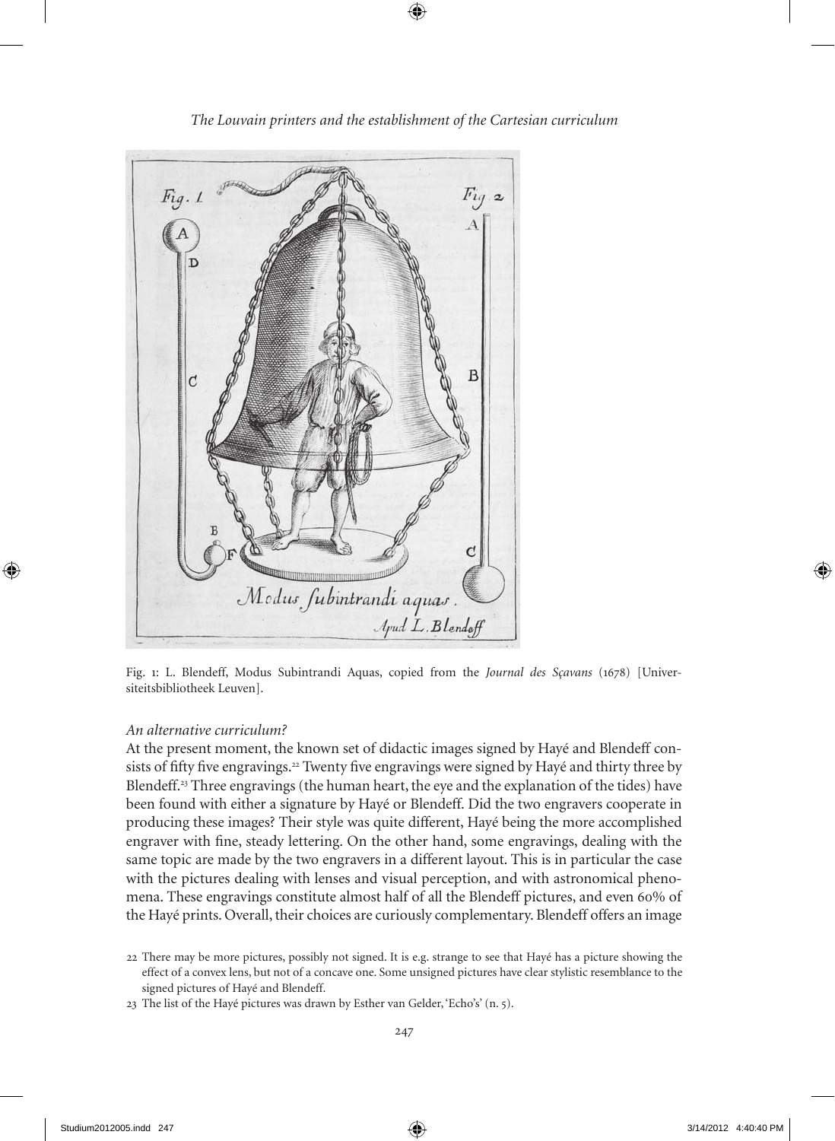

Fig. 1: L. Blendeff, modus Subintrandi Aquas, copied from the *Journal des Sçavans* (1678) [Universiteitsbibliotheek Leuven].

### *An alternative curriculum?*

At the present moment, the known set of didactic images signed by Hayé and Blendeff consists of fifty five engravings.<sup>22</sup> Twenty five engravings were signed by Hayé and thirty three by Blendeff.<sup>23</sup> Three engravings (the human heart, the eye and the explanation of the tides) have been found with either a signature by Hayé or Blendeff. Did the two engravers cooperate in producing these images? Their style was quite different, Hayé being the more accomplished engraver with fine, steady lettering. On the other hand, some engravings, dealing with the same topic are made by the two engravers in a different layout. This is in particular the case with the pictures dealing with lenses and visual perception, and with astronomical phenomena. These engravings constitute almost half of all the Blendeff pictures, and even 60% of the Hayé prints. Overall, their choices are curiously complementary. Blendeff offers an image

<sup>22</sup> There may be more pictures, possibly not signed. It is e.g. strange to see that Hayé has a picture showing the effect of a convex lens, but not of a concave one. Some unsigned pictures have clear stylistic resemblance to the signed pictures of Hayé and Blendeff.

<sup>23</sup> The list of the Hayé pictures was drawn by Esther van Gelder, 'Echo's' (n. 5).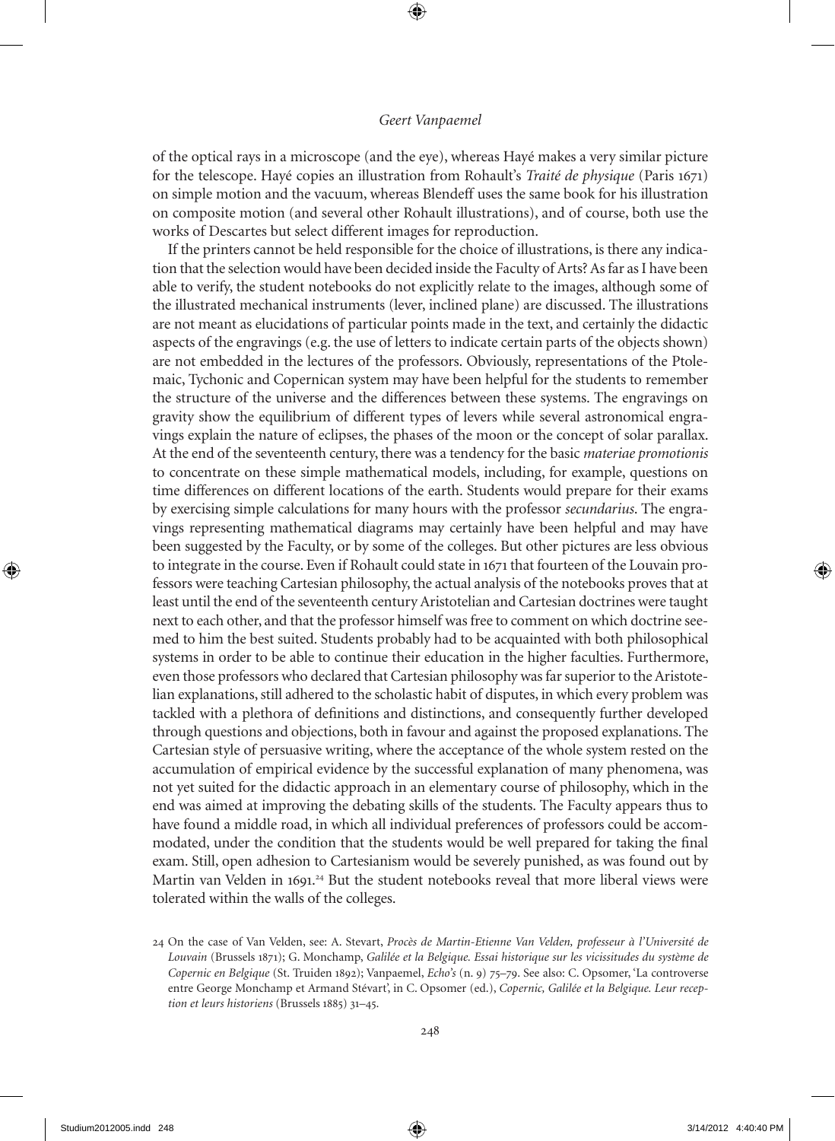of the optical rays in a microscope (and the eye), whereas Hayé makes a very similar picture for the telescope. Hayé copies an illustration from Rohault's *Traité de physique* (Paris 1671) on simple motion and the vacuum, whereas Blendeff uses the same book for his illustration on composite motion (and several other Rohault illustrations), and of course, both use the works of Descartes but select different images for reproduction.

If the printers cannot be held responsible for the choice of illustrations, is there any indication that the selection would have been decided inside the Faculty of Arts? As far as I have been able to verify, the student notebooks do not explicitly relate to the images, although some of the illustrated mechanical instruments (lever, inclined plane) are discussed. The illustrations are not meant as elucidations of particular points made in the text, and certainly the didactic aspects of the engravings (e.g. the use of letters to indicate certain parts of the objects shown) are not embedded in the lectures of the professors. Obviously, representations of the Ptolemaic, Tychonic and Copernican system may have been helpful for the students to remember the structure of the universe and the differences between these systems. The engravings on gravity show the equilibrium of different types of levers while several astronomical engravings explain the nature of eclipses, the phases of the moon or the concept of solar parallax. At the end of the seventeenth century, there was a tendency for the basic *materiae promotionis* to concentrate on these simple mathematical models, including, for example, questions on time differences on different locations of the earth. Students would prepare for their exams by exercising simple calculations for many hours with the professor *secundarius*. The engravings representing mathematical diagrams may certainly have been helpful and may have been suggested by the Faculty, or by some of the colleges. But other pictures are less obvious to integrate in the course. Even if Rohault could state in 1671 that fourteen of the Louvain professors were teaching Cartesian philosophy, the actual analysis of the notebooks proves that at least until the end of the seventeenth century Aristotelian and Cartesian doctrines were taught next to each other, and that the professor himself was free to comment on which doctrine seemed to him the best suited. Students probably had to be acquainted with both philosophical systems in order to be able to continue their education in the higher faculties. Furthermore, even those professors who declared that Cartesian philosophy was far superior to the Aristotelian explanations, still adhered to the scholastic habit of disputes, in which every problem was tackled with a plethora of definitions and distinctions, and consequently further developed through questions and objections, both in favour and against the proposed explanations. The Cartesian style of persuasive writing, where the acceptance of the whole system rested on the accumulation of empirical evidence by the successful explanation of many phenomena, was not yet suited for the didactic approach in an elementary course of philosophy, which in the end was aimed at improving the debating skills of the students. The Faculty appears thus to have found a middle road, in which all individual preferences of professors could be accommodated, under the condition that the students would be well prepared for taking the final exam. Still, open adhesion to Cartesianism would be severely punished, as was found out by Martin van Velden in 1691.<sup>24</sup> But the student notebooks reveal that more liberal views were tolerated within the walls of the colleges.

<sup>2</sup> On the case of Van Velden, see: A. Stevart, *Procès de Martin-Etienne Van Velden, professeur à l'Université de Louvain* (Brussels 1871); G. monchamp, *Galilée et la Belgique. Essai historique sur les vicissitudes du système de Copernic en Belgique* (St. Truiden 1892); Vanpaemel, *Echo's* (n. 9) 75–79. See also: C. Opsomer, 'La controverse entre George monchamp et Armand Stévart', in C. Opsomer (ed.), *Copernic, Galilée et la Belgique. Leur reception et leurs historiens* (Brussels 1885) 31-45.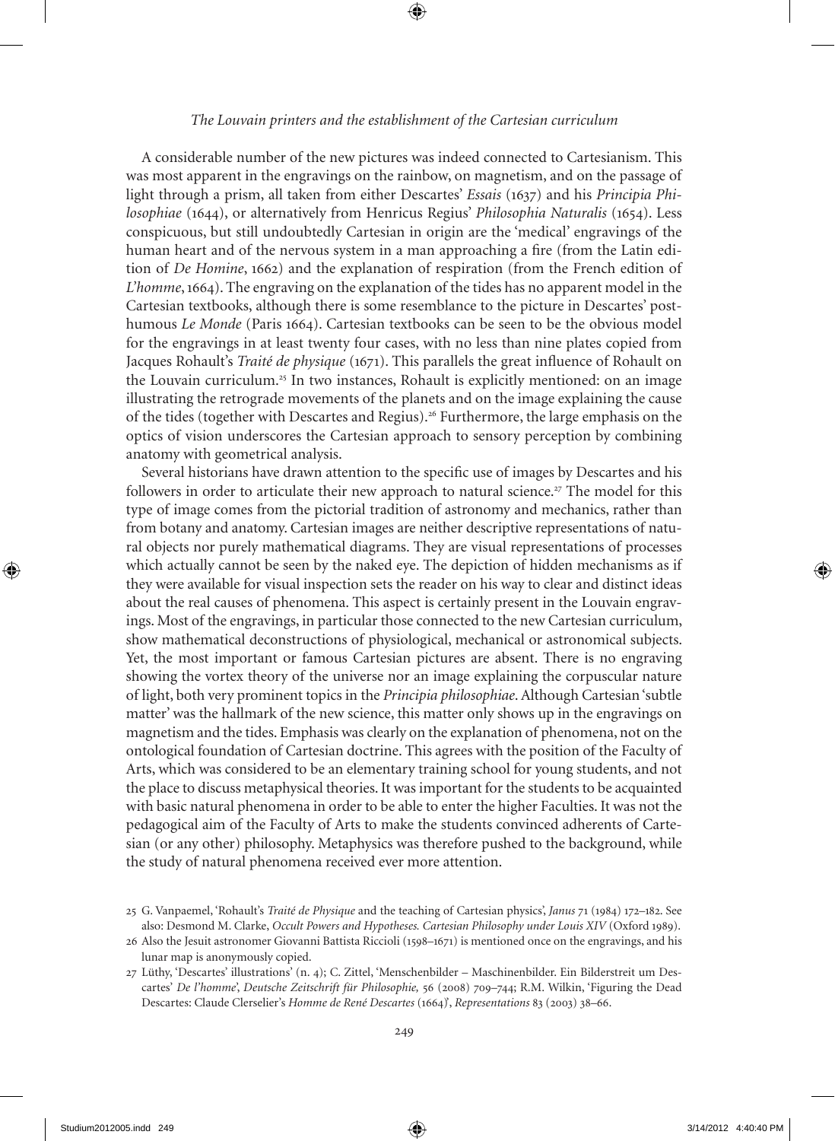### *The Louvain printers and the establishment of the Cartesian curriculum*

A considerable number of the new pictures was indeed connected to Cartesianism. This was most apparent in the engravings on the rainbow, on magnetism, and on the passage of light through a prism, all taken from either Descartes' *Essais* (1637) and his *Principia Philosophiae* (1644), or alternatively from Henricus Regius' *Philosophia Naturalis* (1654). Less conspicuous, but still undoubtedly Cartesian in origin are the 'medical' engravings of the human heart and of the nervous system in a man approaching a fire (from the Latin edition of *De Homine*, 1662) and the explanation of respiration (from the French edition of *L'homme*, 1664). The engraving on the explanation of the tides has no apparent model in the Cartesian textbooks, although there is some resemblance to the picture in Descartes' posthumous *Le Monde* (Paris 1664). Cartesian textbooks can be seen to be the obvious model for the engravings in at least twenty four cases, with no less than nine plates copied from Jacques Rohault's *Traité de physique* (1671). This parallels the great influence of Rohault on the Louvain curriculum.<sup>25</sup> In two instances, Rohault is explicitly mentioned: on an image illustrating the retrograde movements of the planets and on the image explaining the cause of the tides (together with Descartes and Regius).<sup>26</sup> Furthermore, the large emphasis on the optics of vision underscores the Cartesian approach to sensory perception by combining anatomy with geometrical analysis.

Several historians have drawn attention to the specific use of images by Descartes and his followers in order to articulate their new approach to natural science.<sup>27</sup> The model for this type of image comes from the pictorial tradition of astronomy and mechanics, rather than from botany and anatomy. Cartesian images are neither descriptive representations of natural objects nor purely mathematical diagrams. They are visual representations of processes which actually cannot be seen by the naked eye. The depiction of hidden mechanisms as if they were available for visual inspection sets the reader on his way to clear and distinct ideas about the real causes of phenomena. This aspect is certainly present in the Louvain engravings. most of the engravings, in particular those connected to the new Cartesian curriculum, show mathematical deconstructions of physiological, mechanical or astronomical subjects. Yet, the most important or famous Cartesian pictures are absent. There is no engraving showing the vortex theory of the universe nor an image explaining the corpuscular nature of light, both very prominent topics in the *Principia philosophiae*. Although Cartesian 'subtle matter' was the hallmark of the new science, this matter only shows up in the engravings on magnetism and the tides. Emphasis was clearly on the explanation of phenomena, not on the ontological foundation of Cartesian doctrine. This agrees with the position of the Faculty of Arts, which was considered to be an elementary training school for young students, and not the place to discuss metaphysical theories. It was important for the students to be acquainted with basic natural phenomena in order to be able to enter the higher Faculties. It was not the pedagogical aim of the Faculty of Arts to make the students convinced adherents of Cartesian (or any other) philosophy. metaphysics was therefore pushed to the background, while the study of natural phenomena received ever more attention.

<sup>25</sup> G. Vanpaemel, 'Rohault's *Traité de Physique* and the teaching of Cartesian physics', *Janus* 71 (1984) 172-182. See also: Desmond m. Clarke, *Occult Powers and Hypotheses. Cartesian Philosophy under Louis XIV* (Oxford 1989).

<sup>26</sup> Also the Jesuit astronomer Giovanni Battista Riccioli (1598–1671) is mentioned once on the engravings, and his lunar map is anonymously copied.

<sup>27</sup> Lüthy, 'Descartes' illustrations' (n. 4); C. Zittel, 'Menschenbilder – Maschinenbilder. Ein Bilderstreit um Descartes' De l'homme', Deutsche Zeitschrift für Philosophie, 56 (2008) 709–744; R.M. Wilkin, 'Figuring the Dead Descartes: Claude Clerselier's *Homme de René Descartes* (166)', *Representations* 83 (2003) 38–66.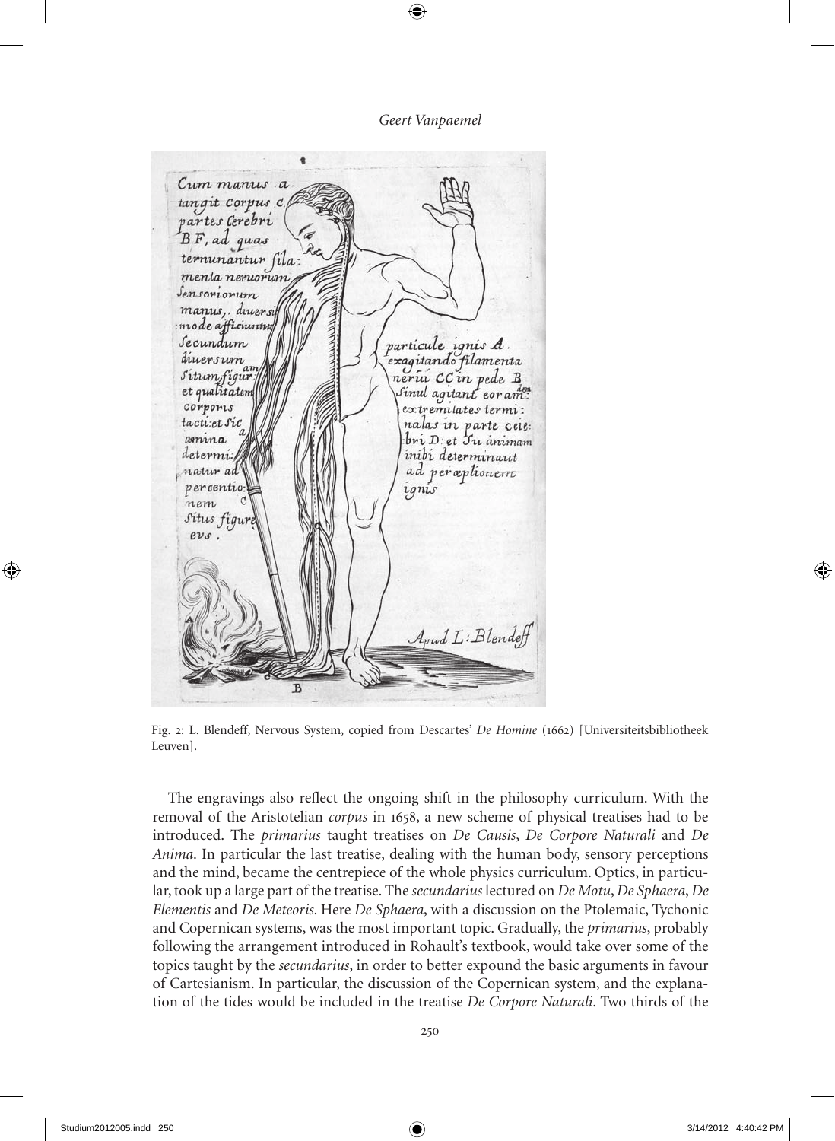Cum manus a tangit Corpus c partes Cerebri  $BF$ , ad quas ternunantur fila: menta neruorun Sensoriorum manus, druer si mode afficiuntu particule ignis A. Secundum diversum exagitando filamenta  $a n$ Situmfigur nería CC in pede B et qualitatem Sinul agitant coram corports extremilates termi: tactiet sic nalas in parte ceie: amina  $bri$  *D:* et  $Jri$  animam inibi determinaut determi. ad perceptionem natur ad percentio ignis nem Situs figur  $ev_s$ Annal L: Blendeh  $\mathbf{P}$ 

Fig. 2: L. Blendeff, Nervous System, copied from Descartes' *De Homine* (1662) [Universiteitsbibliotheek Leuven].

The engravings also reflect the ongoing shift in the philosophy curriculum. With the removal of the Aristotelian *corpus* in 1658, a new scheme of physical treatises had to be introduced. The *primarius* taught treatises on *De Causis*, *De Corpore Naturali* and *De Anima*. In particular the last treatise, dealing with the human body, sensory perceptions and the mind, became the centrepiece of the whole physics curriculum. Optics, in particular, took up a large part of the treatise. The *secundarius* lectured on *De Motu*, *De Sphaera*, *De Elementis* and *De Meteoris*. Here *De Sphaera*, with a discussion on the Ptolemaic, Tychonic and Copernican systems, was the most important topic. Gradually, the *primarius*, probably following the arrangement introduced in Rohault's textbook, would take over some of the topics taught by the *secundarius*, in order to better expound the basic arguments in favour of Cartesianism. In particular, the discussion of the Copernican system, and the explanation of the tides would be included in the treatise *De Corpore Naturali*. Two thirds of the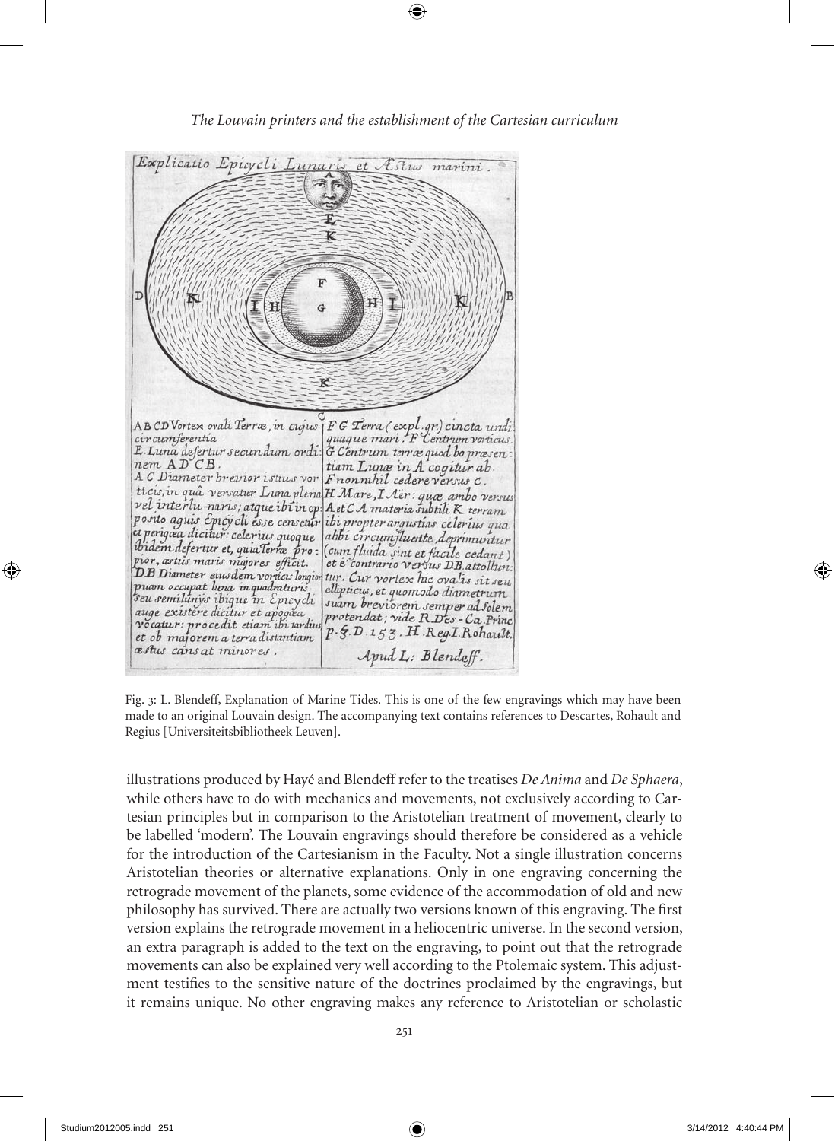

Fig. 3: L. Blendeff, explanation of marine Tides. This is one of the few engravings which may have been made to an original Louvain design. The accompanying text contains references to Descartes, Rohault and Regius [Universiteitsbibliotheek Leuven].

illustrations produced by Hayé and Blendeff refer to the treatises *De Anima* and *De Sphaera*, while others have to do with mechanics and movements, not exclusively according to Cartesian principles but in comparison to the Aristotelian treatment of movement, clearly to be labelled 'modern'. The Louvain engravings should therefore be considered as a vehicle for the introduction of the Cartesianism in the Faculty. Not a single illustration concerns Aristotelian theories or alternative explanations. Only in one engraving concerning the retrograde movement of the planets, some evidence of the accommodation of old and new philosophy has survived. There are actually two versions known of this engraving. The first version explains the retrograde movement in a heliocentric universe. In the second version, an extra paragraph is added to the text on the engraving, to point out that the retrograde movements can also be explained very well according to the Ptolemaic system. This adjustment testifies to the sensitive nature of the doctrines proclaimed by the engravings, but it remains unique. No other engraving makes any reference to Aristotelian or scholastic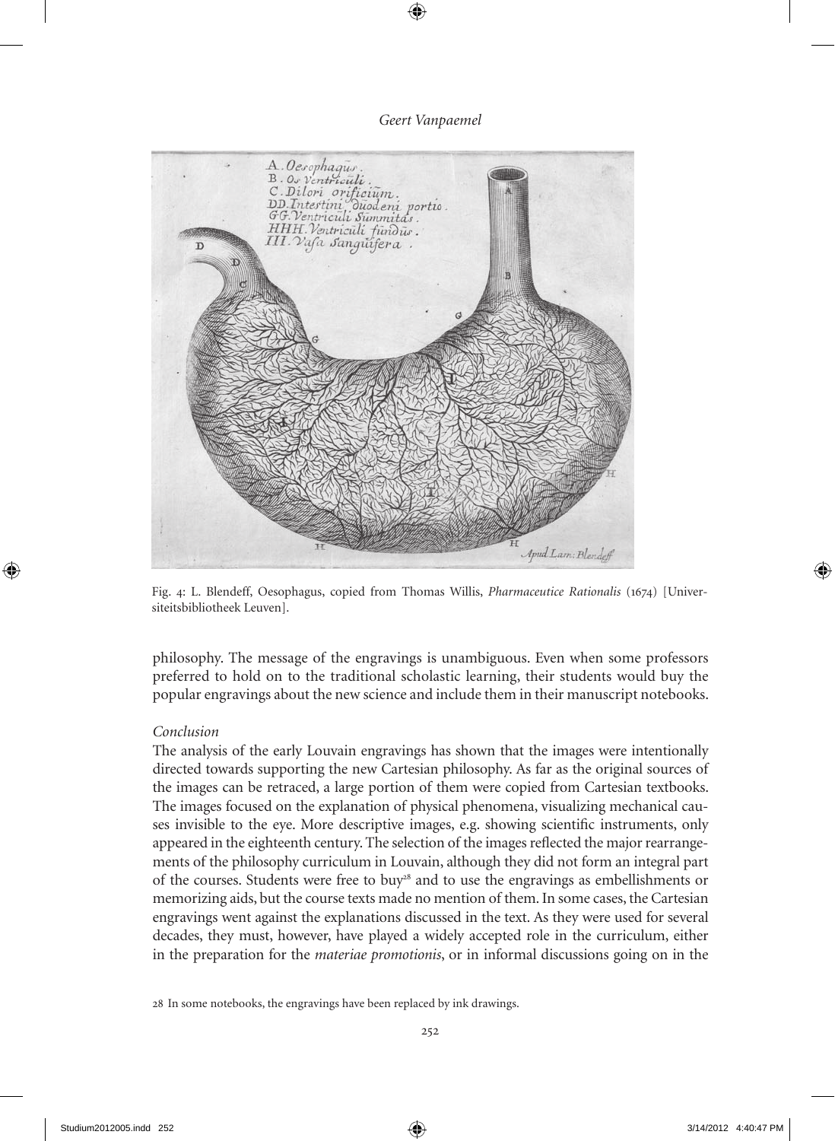

Fig. 4: L. Blendeff, Oesophagus, copied from Thomas Willis, *Pharmaceutice Rationalis* (1674) [Universiteitsbibliotheek Leuven].

philosophy. The message of the engravings is unambiguous. Even when some professors preferred to hold on to the traditional scholastic learning, their students would buy the popular engravings about the new science and include them in their manuscript notebooks.

# *Conclusion*

The analysis of the early Louvain engravings has shown that the images were intentionally directed towards supporting the new Cartesian philosophy. As far as the original sources of the images can be retraced, a large portion of them were copied from Cartesian textbooks. The images focused on the explanation of physical phenomena, visualizing mechanical causes invisible to the eye. more descriptive images, e.g. showing scientific instruments, only appeared in the eighteenth century. The selection of the images reflected the major rearrangements of the philosophy curriculum in Louvain, although they did not form an integral part of the courses. Students were free to buy<sup>28</sup> and to use the engravings as embellishments or memorizing aids, but the course texts made no mention of them. In some cases, the Cartesian engravings went against the explanations discussed in the text. As they were used for several decades, they must, however, have played a widely accepted role in the curriculum, either in the preparation for the *materiae promotionis*, or in informal discussions going on in the

<sup>28</sup> In some notebooks, the engravings have been replaced by ink drawings.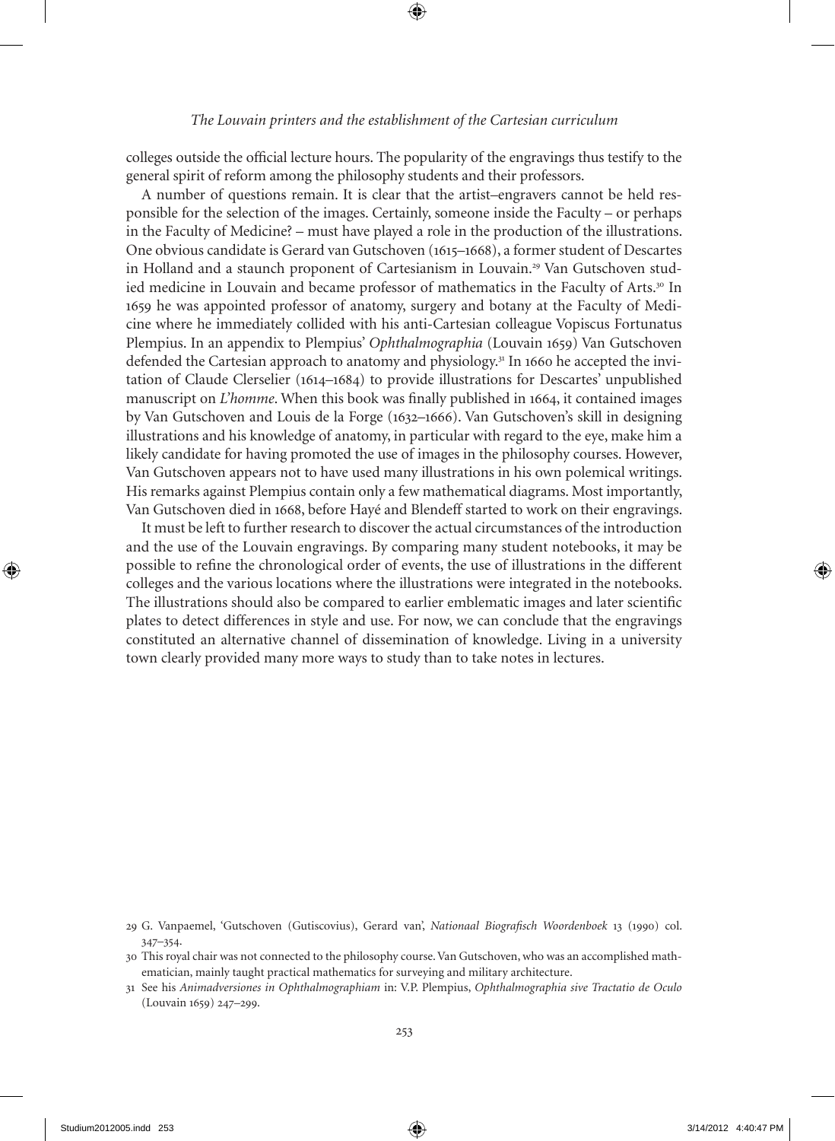#### *The Louvain printers and the establishment of the Cartesian curriculum*

colleges outside the official lecture hours. The popularity of the engravings thus testify to the general spirit of reform among the philosophy students and their professors.

A number of questions remain. It is clear that the artist–engravers cannot be held responsible for the selection of the images. Certainly, someone inside the Faculty – or perhaps in the Faculty of medicine? – must have played a role in the production of the illustrations. One obvious candidate is Gerard van Gutschoven (1615–1668), a former student of Descartes in Holland and a staunch proponent of Cartesianism in Louvain.29 Van Gutschoven studied medicine in Louvain and became professor of mathematics in the Faculty of Arts.<sup>30</sup> In 1659 he was appointed professor of anatomy, surgery and botany at the Faculty of medicine where he immediately collided with his anti-Cartesian colleague Vopiscus Fortunatus Plempius. In an appendix to Plempius' *Ophthalmographia* (Louvain 1659) Van Gutschoven defended the Cartesian approach to anatomy and physiology.<sup>31</sup> In 1660 he accepted the invitation of Claude Clerselier (1614–1684) to provide illustrations for Descartes' unpublished manuscript on *L'homme*. When this book was finally published in 1664, it contained images by Van Gutschoven and Louis de la Forge (1632–1666). Van Gutschoven's skill in designing illustrations and his knowledge of anatomy, in particular with regard to the eye, make him a likely candidate for having promoted the use of images in the philosophy courses. However, Van Gutschoven appears not to have used many illustrations in his own polemical writings. His remarks against Plempius contain only a few mathematical diagrams. most importantly, Van Gutschoven died in 1668, before Hayé and Blendeff started to work on their engravings.

It must be left to further research to discover the actual circumstances of the introduction and the use of the Louvain engravings. By comparing many student notebooks, it may be possible to refine the chronological order of events, the use of illustrations in the different colleges and the various locations where the illustrations were integrated in the notebooks. The illustrations should also be compared to earlier emblematic images and later scientific plates to detect differences in style and use. For now, we can conclude that the engravings constituted an alternative channel of dissemination of knowledge. Living in a university town clearly provided many more ways to study than to take notes in lectures.

<sup>29</sup> G. Vanpaemel, 'Gutschoven (Gutiscovius), Gerard van', *Nationaal Biografisch Woordenboek* 13 (1990) col. 347–354.

<sup>30</sup> This royal chair was not connected to the philosophy course. Van Gutschoven, who was an accomplished mathematician, mainly taught practical mathematics for surveying and military architecture.

<sup>31</sup> See his *Animadversiones in Ophthalmographiam* in: V.P. Plempius, *Ophthalmographia sive Tractatio de Oculo* (Louvain 1659) 247-299.